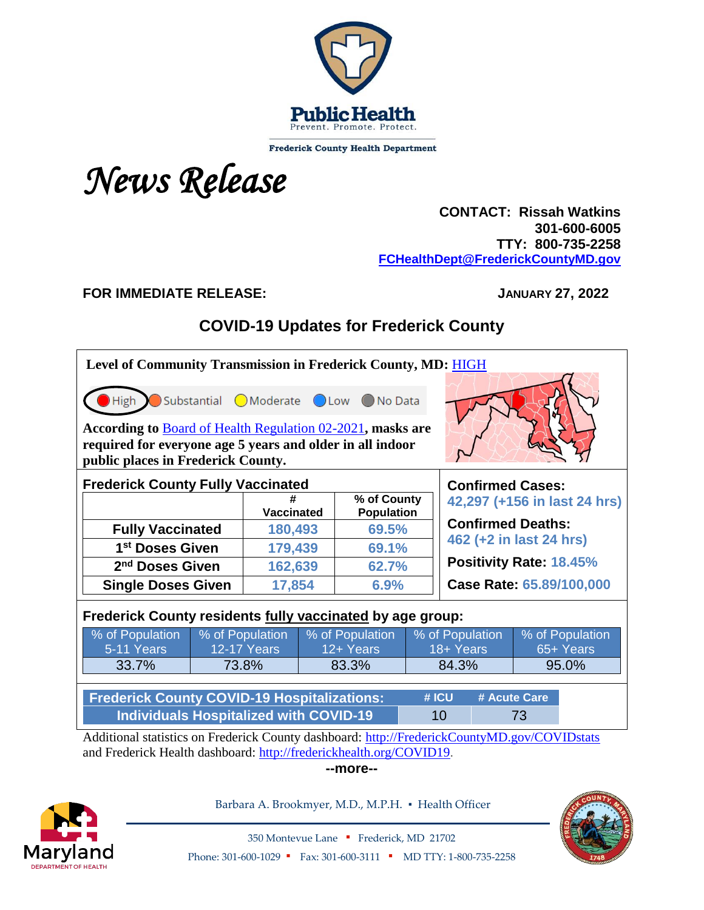

**Frederick County Health Department** 

# *News Release*

 **CONTACT: Rissah Watkins 301-600-6005 TTY: 800-735-2258 [FCHealthDept@FrederickCountyMD.gov](mailto:FCHealthDept@FrederickCountyMD.gov)**

## **FOR IMMEDIATE RELEASE: JANUARY 27, 2022**

# **COVID-19 Updates for Frederick County**

| Level of Community Transmission in Frederick County, MD: HIGH<br>Substantial OModerate OLow ONo Data<br>High                                                        |                                     |                    |                 |                                  |                          |                              |  |                 |  |
|---------------------------------------------------------------------------------------------------------------------------------------------------------------------|-------------------------------------|--------------------|-----------------|----------------------------------|--------------------------|------------------------------|--|-----------------|--|
| According to Board of Health Regulation 02-2021, masks are<br>required for everyone age 5 years and older in all indoor<br>public places in Frederick County.       |                                     |                    |                 |                                  |                          |                              |  |                 |  |
| <b>Frederick County Fully Vaccinated</b><br><b>Confirmed Cases:</b>                                                                                                 |                                     |                    |                 |                                  |                          |                              |  |                 |  |
|                                                                                                                                                                     |                                     | <b>Vaccinated</b>  |                 | % of County<br><b>Population</b> |                          | 42,297 (+156 in last 24 hrs) |  |                 |  |
| <b>Fully Vaccinated</b>                                                                                                                                             |                                     | 180,493            |                 | 69.5%                            |                          | <b>Confirmed Deaths:</b>     |  |                 |  |
| 1 <sup>st</sup> Doses Given                                                                                                                                         |                                     | 179,439            |                 | 69.1%                            |                          | 462 (+2 in last 24 hrs)      |  |                 |  |
| 2 <sup>nd</sup> Doses Given                                                                                                                                         |                                     | 162,639            |                 | 62.7%                            |                          | Positivity Rate: 18.45%      |  |                 |  |
|                                                                                                                                                                     | <b>Single Doses Given</b><br>17,854 |                    | 6.9%            |                                  | Case Rate: 65.89/100,000 |                              |  |                 |  |
| Frederick County residents fully vaccinated by age group:                                                                                                           |                                     |                    |                 |                                  |                          |                              |  |                 |  |
| % of Population                                                                                                                                                     |                                     | % of Population    | % of Population |                                  | % of Population          |                              |  | % of Population |  |
| 5-11 Years                                                                                                                                                          |                                     | <b>12-17 Years</b> | 12+ Years       |                                  | 18+ Years                |                              |  | 65+ Years       |  |
| 33.7%                                                                                                                                                               | 73.8%                               |                    | 83.3%           |                                  | 84.3%                    |                              |  | 95.0%           |  |
| <b>Frederick County COVID-19 Hospitalizations:</b><br>#ICU<br># Acute Care                                                                                          |                                     |                    |                 |                                  |                          |                              |  |                 |  |
| <b>Individuals Hospitalized with COVID-19</b><br>10<br>73                                                                                                           |                                     |                    |                 |                                  |                          |                              |  |                 |  |
| Additional statistics on Frederick County dashboard: http://FrederickCountyMD.gov/COVIDstats<br>and Frederick Health dashboard: http://frederickhealth.org/COVID19. |                                     |                    |                 |                                  |                          |                              |  |                 |  |

**--more--**



Barbara A. Brookmyer, M.D., M.P.H. · Health Officer



350 Montevue Lane ▪ Frederick, MD 21702 Phone: 301-600-1029 • Fax: 301-600-3111 • MD TTY: 1-800-735-2258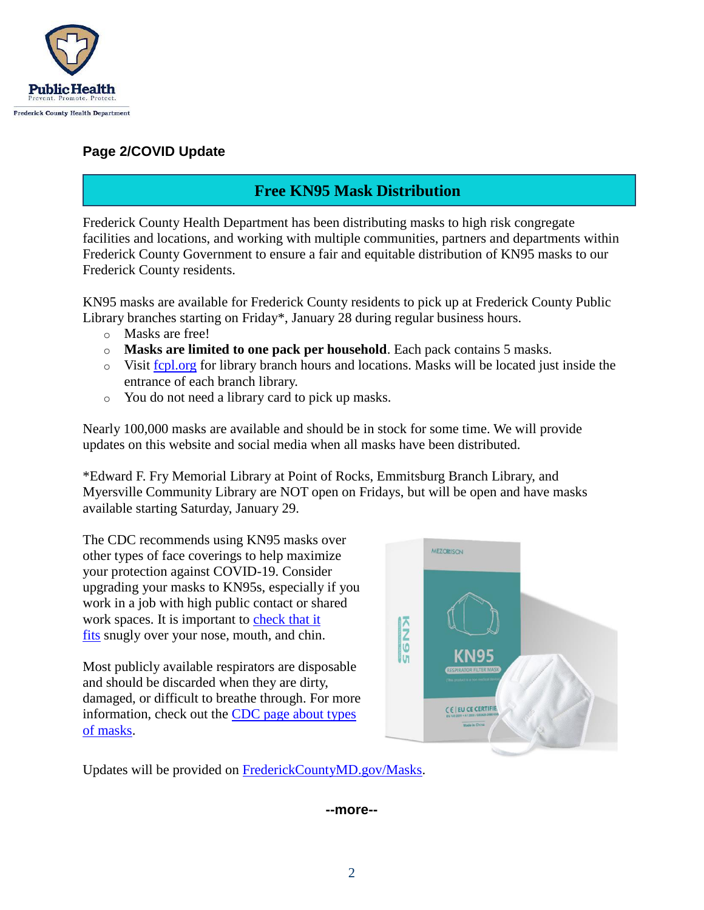

#### **Page 2/COVID Update**

# **Free KN95 Mask Distribution**

Frederick County Health Department has been distributing masks to high risk congregate facilities and locations, and working with multiple communities, partners and departments within Frederick County Government to ensure a fair and equitable distribution of KN95 masks to our Frederick County residents.

KN95 masks are available for Frederick County residents to pick up at Frederick County Public Library branches starting on Friday\*, January 28 during regular business hours.

- o Masks are free!
- o **Masks are limited to one pack per household**. Each pack contains 5 masks.
- o Visit [fcpl.org](https://www.fcpl.org/) for library branch hours and locations. Masks will be located just inside the entrance of each branch library.
- o You do not need a library card to pick up masks.

Nearly 100,000 masks are available and should be in stock for some time. We will provide updates on this website and social media when all masks have been distributed.

\*Edward F. Fry Memorial Library at Point of Rocks, Emmitsburg Branch Library, and Myersville Community Library are NOT open on Fridays, but will be open and have masks available starting Saturday, January 29.

The CDC recommends using KN95 masks over other types of face coverings to help maximize your protection against COVID-19. Consider upgrading your masks to KN95s, especially if you work in a job with high public contact or shared work spaces. It is important to check that it [fits](https://www.cdc.gov/coronavirus/2019-ncov/your-health/effective-masks.html) snugly over your nose, mouth, and chin.

Most publicly available respirators are disposable and should be discarded when they are dirty, damaged, or difficult to breathe through. For more information, check out the [CDC page about types](https://www.cdc.gov/coronavirus/2019-ncov/prevent-getting-sick/types-of-masks.html)  [of masks.](https://www.cdc.gov/coronavirus/2019-ncov/prevent-getting-sick/types-of-masks.html)



Updates will be provided on [FrederickCountyMD.gov/Masks.](http://frederickcountymd.gov/Masks)

#### **--more--**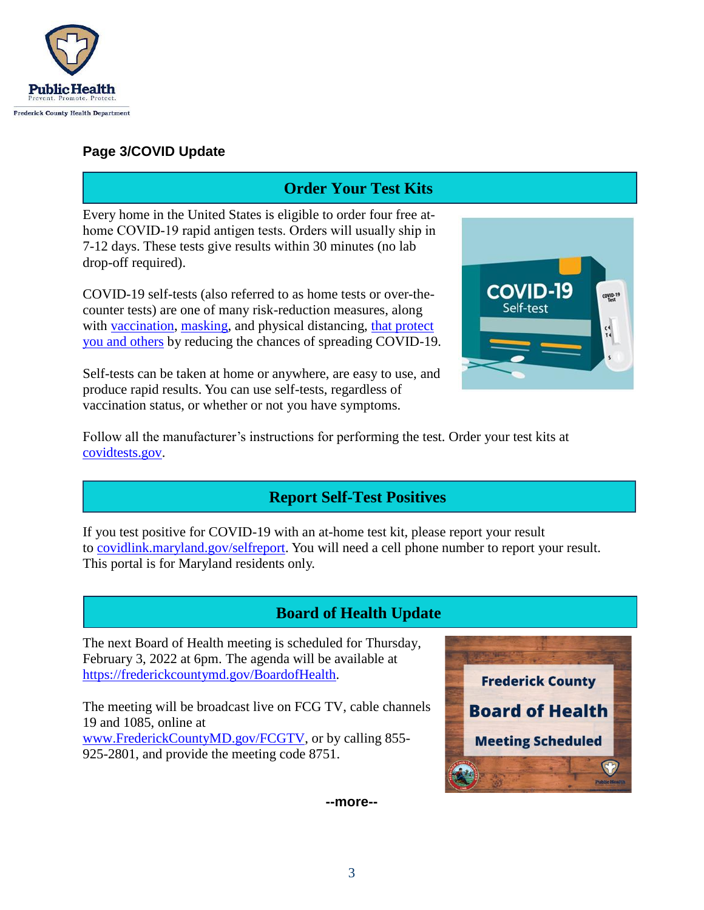

### **Page 3/COVID Update**

# **Order Your Test Kits**

Every home in the United States is eligible to order four free at home COVID-19 rapid antigen tests. Orders will usually ship in 7-12 days. These tests give results within 30 minutes (no lab drop-off required).

COVID-19 self-tests (also referred to as home tests or over-thecounter tests) are one of many risk-reduction measures, along with [vaccination,](https://www.cdc.gov/coronavirus/2019-ncov/vaccines/your-vaccination.html) [masking,](https://www.cdc.gov/coronavirus/2019-ncov/prevent-getting-sick/masks.html) and physical distancing, that protect [you and others](https://www.cdc.gov/coronavirus/2019-ncov/prevent-getting-sick/prevention.html) by reducing the chances of spreading COVID-19.

Self-tests can be taken at home or anywhere, are easy to use, and produce rapid results. You can use self-tests, regardless of vaccination status, or whether or not you have symptoms.



Follow all the manufacturer's instructions for performing the test. Order your test kits at [covidtests.gov.](http://covidtests.gov/)

# **Report Self-Test Positives**

If you test positive for COVID-19 with an at-home test kit, please report your result to [covidlink.maryland.gov/selfreport.](https://covidlink.maryland.gov/selfreport) You will need a cell phone number to report your result. This portal is for Maryland residents only.

# **Board of Health Update**

The next Board of Health meeting is scheduled for Thursday, February 3, 2022 at 6pm. The agenda will be available at [https://frederickcountymd.gov/BoardofHealth.](https://frederickcountymd.gov/BoardofHealth)

The meeting will be broadcast live on FCG TV, cable channels 19 and 1085, online at [www.FrederickCountyMD.gov/FCGTV,](http://www.frederickcountymd.gov/FCGTV) or by calling 855- 925-2801, and provide the meeting code 8751.



**--more--**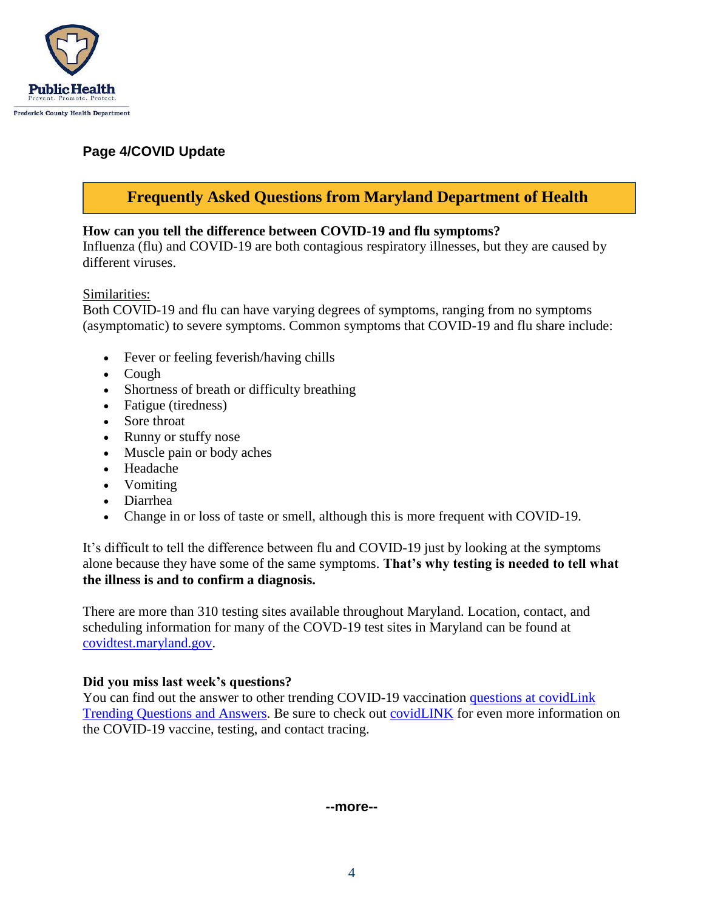

## **Page 4/COVID Update**

## **Frequently Asked Questions from Maryland Department of Health**

#### **How can you tell the difference between COVID-19 and flu symptoms?**

Influenza (flu) and COVID-19 are both contagious respiratory illnesses, but they are caused by different viruses.

#### Similarities:

Both COVID-19 and flu can have varying degrees of symptoms, ranging from no symptoms (asymptomatic) to severe symptoms. Common symptoms that COVID-19 and flu share include:

- Fever or feeling feverish/having chills
- $\bullet$  Cough
- Shortness of breath or difficulty breathing
- Fatigue (tiredness)
- Sore throat
- Runny or stuffy nose
- Muscle pain or body aches
- Headache
- Vomiting
- Diarrhea
- Change in or loss of taste or smell, although this is more frequent with COVID-19.

It's difficult to tell the difference between flu and COVID-19 just by looking at the symptoms alone because they have some of the same symptoms. **That's why testing is needed to tell what the illness is and to confirm a diagnosis.**

There are more than 310 testing sites available throughout Maryland. Location, contact, and scheduling information for many of the COVD-19 test sites in Maryland can be found a[t](https://coronavirus.maryland.gov/pages/symptoms-testing) [covidtest.maryland.gov.](https://coronavirus.maryland.gov/pages/symptoms-testing)

#### **Did you miss last week's questions?**

You can find out the answer to other trending COVID-19 vaccination questions at covidLink [Trending Questions and Answers.](https://covidlink.maryland.gov/content/faqs/#trending) Be sure to check out [covidLINK](https://covidlink.maryland.gov/content/) for even more information on the COVID-19 vaccine, testing, and contact tracing.

#### **--more--**